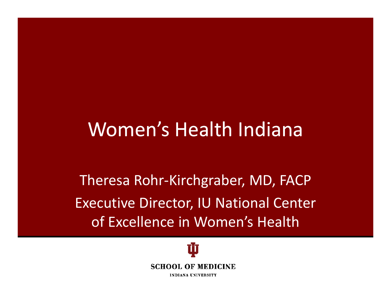#### Women's Health Indiana

Theresa Rohr‐Kirchgraber, MD, FACP Executive Director, IU National Center of Excellence in Women's Health

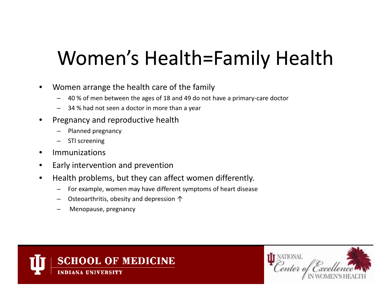# Women's Health=Family Health

- • Women arrange the health care of the family
	- 40 % of men between the ages of 18 and 49 do not have <sup>a</sup> primary‐care doctor
	- 34 % had not seen <sup>a</sup> doctor in more than <sup>a</sup> year
- • Pregnancy and reproductive health
	- Planned pregnancy
	- STI screening
- $\bullet$ Immunizations
- $\bullet$ Early intervention and prevention
- •• Health problems, but they can affect women differently.
	- For example, women may have different symptoms of heart disease
	- Osteoarthritis, obesity and depression ↑
	- Menopause, pregnancy



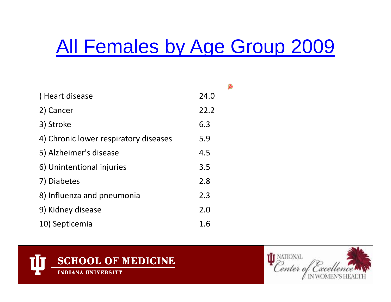### All Females by Age Group 2009

| Heart disease                         | 24.0 |
|---------------------------------------|------|
| 2) Cancer                             | 22.2 |
| 3) Stroke                             | 6.3  |
| 4) Chronic lower respiratory diseases | 5.9  |
| 5) Alzheimer's disease                | 4.5  |
| 6) Unintentional injuries             | 3.5  |
| 7) Diabetes                           | 2.8  |
| 8) Influenza and pneumonia            | 2.3  |
| 9) Kidney disease                     | 2.0  |
| 10) Septicemia                        | 1.6  |



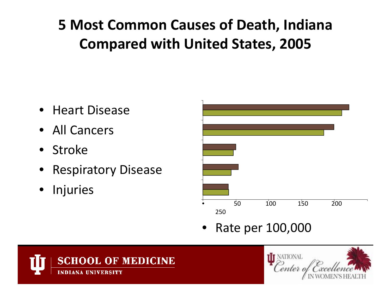#### **5 Most Common Causes of Death, Indiana Compared with United States, 2005**

- Heart Disease
- All Cancers
- Stroke
- Respiratory Disease
- •Injuries



•• Rate per 100,000



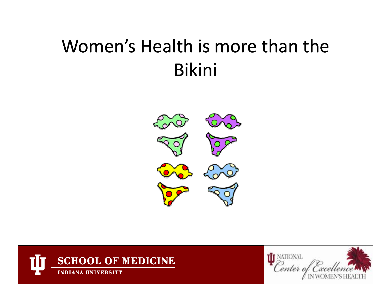#### Women's Health is more than the Bikini





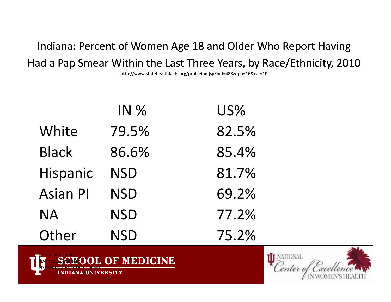Indiana: Percent of Women Age 18 and Older Who Report Having Had <sup>a</sup> Pap Smear Within the Last Three Years, by Race/Ethnicity, 2010

http://www.statehealthfacts.org/profileind.jsp?ind=483&rgn=16&cat=10

|                 | IN %       | US%   |
|-----------------|------------|-------|
| White           | 79.5%      | 82.5% |
| <b>Black</b>    | 86.6%      | 85.4% |
| Hispanic        | <b>NSD</b> | 81.7% |
| <b>Asian PI</b> | <b>NSD</b> | 69.2% |
| <b>NA</b>       | <b>NSD</b> | 77.2% |
| Other           | <b>NSD</b> | 75.2% |



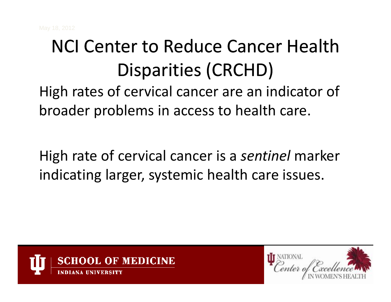## NCI Center to Reduce Cancer Health Disparities (CRCHD)

High rates of cervical cancer are an indicator of broader problems in access to health care.

High rate of cervical cancer is <sup>a</sup> *sentinel* marker indicating larger, systemic health care issues.



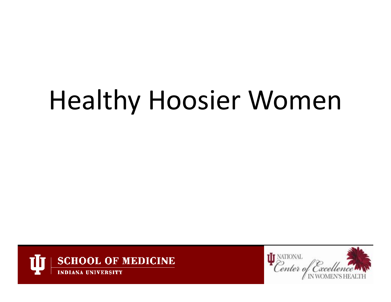# Healthy Hoosier Women



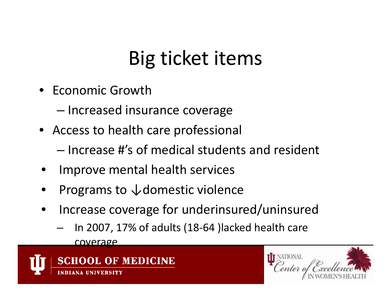## Big ticket items

- Economic Growth
	- –– Increased insurance coverage
- Access to health care professional
	- Increase #'s of medical students and resident
- •Improve mental health services
- •Programs to ↓domestic violence
- $\bullet$ • Increase coverage for underinsured/uninsured
	- In 2007, 17% of adults (18‐64 )lacked health care coverage



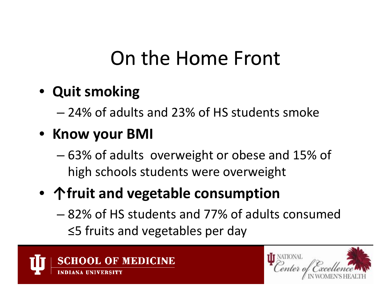### On the Home Front

#### • **Quit smoking**

– 24% of adults and 23% of HS students smoke

#### • **Know your BMI**

– 63% of adults overweight or obese and 15% of high schools students were overweight

#### • **↑fruit and vegetable consumption**

– 82% of HS students and 77% of adults consumed ≤5 fruits and vegetables per day



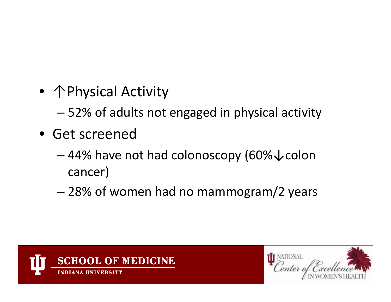• 个Physical Activity

– 52% of adults not engaged in physical activity

- Get screened
	- 44% have not had colonoscopy (60%↓colon cancer)
	- 28% of women had no mammogram/2 years